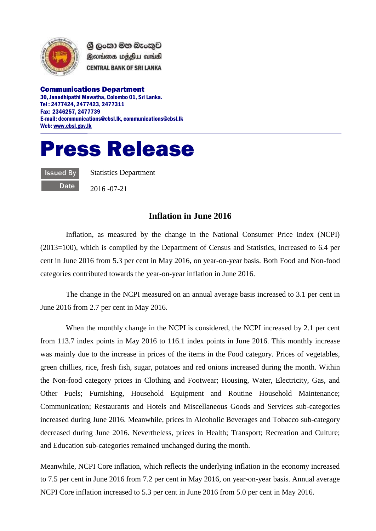

ශී ලංකා මහ බැංකුව இலங்கை மத்திய வங்கி **CENTRAL BANK OF SRI LANKA** 

Communications Department 30, Janadhipathi Mawatha, Colombo 01, Sri Lanka. Tel : 2477424, 2477423, 2477311 Fax: 2346257, 2477739 E-mail: dcommunications@cbsl.lk, communications@cbsl.lk Web[: www.cbsl.gov.lk](http://www.cbsl.gov.lk/)

## Press Release

Issued By **Date**  Statistics Department

2016 -07-21

## **Inflation in June 2016**

Inflation, as measured by the change in the National Consumer Price Index (NCPI) (2013=100), which is compiled by the Department of Census and Statistics, increased to 6.4 per cent in June 2016 from 5.3 per cent in May 2016, on year-on-year basis. Both Food and Non-food categories contributed towards the year-on-year inflation in June 2016.

The change in the NCPI measured on an annual average basis increased to 3.1 per cent in June 2016 from 2.7 per cent in May 2016.

When the monthly change in the NCPI is considered, the NCPI increased by 2.1 per cent from 113.7 index points in May 2016 to 116.1 index points in June 2016. This monthly increase was mainly due to the increase in prices of the items in the Food category. Prices of vegetables, green chillies, rice, fresh fish, sugar, potatoes and red onions increased during the month. Within the Non-food category prices in Clothing and Footwear; Housing, Water, Electricity, Gas, and Other Fuels; Furnishing, Household Equipment and Routine Household Maintenance; Communication; Restaurants and Hotels and Miscellaneous Goods and Services sub-categories increased during June 2016. Meanwhile, prices in Alcoholic Beverages and Tobacco sub-category decreased during June 2016. Nevertheless, prices in Health; Transport; Recreation and Culture; and Education sub-categories remained unchanged during the month.

Meanwhile, NCPI Core inflation, which reflects the underlying inflation in the economy increased to 7.5 per cent in June 2016 from 7.2 per cent in May 2016, on year-on-year basis. Annual average NCPI Core inflation increased to 5.3 per cent in June 2016 from 5.0 per cent in May 2016.